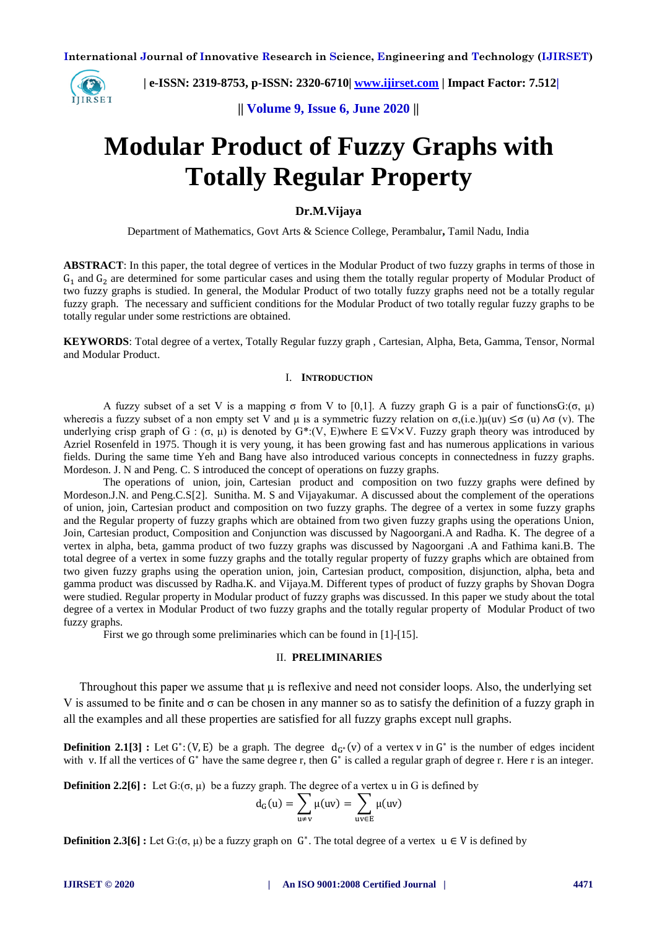

 **| e-ISSN: 2319-8753, p-ISSN: 2320-6710| [www.ijirset.com](http://www.ijirset.com/) | Impact Factor: 7.512|**

**|| Volume 9, Issue 6, June 2020 ||** 

# **Modular Product of Fuzzy Graphs with Totally Regular Property**

# **Dr.M.Vijaya**

Department of Mathematics, Govt Arts & Science College, Perambalur**,** Tamil Nadu, India

**ABSTRACT**: In this paper, the total degree of vertices in the Modular Product of two fuzzy graphs in terms of those in  $G_1$  and  $G_2$  are determined for some particular cases and using them the totally regular property of Modular Product of two fuzzy graphs is studied. In general, the Modular Product of two totally fuzzy graphs need not be a totally regular fuzzy graph. The necessary and sufficient conditions for the Modular Product of two totally regular fuzzy graphs to be totally regular under some restrictions are obtained.

**KEYWORDS**: Total degree of a vertex, Totally Regular fuzzy graph , Cartesian, Alpha, Beta, Gamma, Tensor, Normal and Modular Product.

## I. **INTRODUCTION**

A fuzzy subset of a set V is a mapping σ from V to [0,1]. A fuzzy graph G is a pair of functionsG:(σ, μ) whereois a fuzzy subset of a non empty set V and  $\mu$  is a symmetric fuzzy relation on  $\sigma_i(i.e.)\mu(uv) \leq \sigma(u) \wedge \sigma(v)$ . The underlying crisp graph of G:  $(\sigma, \mu)$  is denoted by G\*:(V, E)where E  $\subseteq$ V×V. Fuzzy graph theory was introduced by Azriel Rosenfeld in 1975. Though it is very young, it has been growing fast and has numerous applications in various fields. During the same time Yeh and Bang have also introduced various concepts in connectedness in fuzzy graphs. Mordeson. J. N and Peng. C. S introduced the concept of operations on fuzzy graphs.

The operations of union, join, Cartesian product and composition on two fuzzy graphs were defined by Mordeson.J.N. and Peng.C.S[2]. Sunitha. M. S and Vijayakumar. A discussed about the complement of the operations of union, join, Cartesian product and composition on two fuzzy graphs. The degree of a vertex in some fuzzy graphs and the Regular property of fuzzy graphs which are obtained from two given fuzzy graphs using the operations Union, Join, Cartesian product, Composition and Conjunction was discussed by Nagoorgani.A and Radha. K. The degree of a vertex in alpha, beta, gamma product of two fuzzy graphs was discussed by Nagoorgani .A and Fathima kani.B. The total degree of a vertex in some fuzzy graphs and the totally regular property of fuzzy graphs which are obtained from two given fuzzy graphs using the operation union, join, Cartesian product, composition, disjunction, alpha, beta and gamma product was discussed by Radha.K. and Vijaya.M. Different types of product of fuzzy graphs by Shovan Dogra were studied. Regular property in Modular product of fuzzy graphs was discussed. In this paper we study about the total degree of a vertex in Modular Product of two fuzzy graphs and the totally regular property of Modular Product of two fuzzy graphs.

First we go through some preliminaries which can be found in [1]-[15].

# II. **PRELIMINARIES**

Throughout this paper we assume that μ is reflexive and need not consider loops. Also, the underlying set V is assumed to be finite and  $\sigma$  can be chosen in any manner so as to satisfy the definition of a fuzzy graph in all the examples and all these properties are satisfied for all fuzzy graphs except null graphs.

**Definition 2.1[3] :** Let  $G^*$ : (V, E) be a graph. The degree  $d_{G^*}(v)$  of a vertex v in  $G^*$  is the number of edges incident with v. If all the vertices of  $G^*$  have the same degree r, then  $G^*$  is called a regular graph of degree r. Here r is an integer.

**Definition 2.2[6] :** Let  $G: (\sigma, \mu)$  be a fuzzy graph. The degree of a vertex u in G is defined by

$$
d_G(u) = \sum_{u \neq v} \mu(uv) = \sum_{uv \in E} \mu(uv)
$$

**Definition 2.3[6]**: Let  $G: (\sigma, \mu)$  be a fuzzy graph on  $G^*$ . The total degree of a vertex  $\mu \in V$  is defined by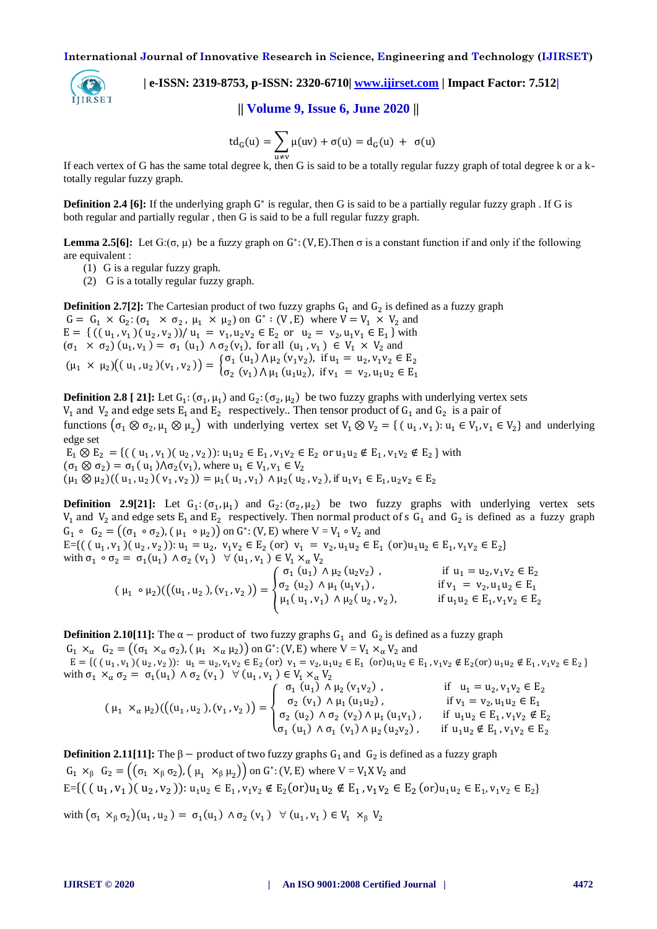

 **| e-ISSN: 2319-8753, p-ISSN: 2320-6710| [www.ijirset.com](http://www.ijirset.com/) | Impact Factor: 7.512|**

**|| Volume 9, Issue 6, June 2020 ||** 

$$
td_G(u) = \sum_{u \neq v} \mu(uv) + \sigma(u) = d_G(u) + \sigma(u)
$$

If each vertex of G has the same total degree k, then G is said to be a totally regular fuzzy graph of total degree k or a ktotally regular fuzzy graph.

**Definition 2.4 [6]:** If the underlying graph G<sup>\*</sup> is regular, then G is said to be a partially regular fuzzy graph. If G is both regular and partially regular , then G is said to be a full regular fuzzy graph.

**Lemma 2.5[6]:** Let  $G: (\sigma, \mu)$  be a fuzzy graph on  $G^*: (V, E)$ . Then  $\sigma$  is a constant function if and only if the following are equivalent :

(1) G is a regular fuzzy graph.

(2) G is a totally regular fuzzy graph.

**Definition 2.7[2]:** The Cartesian product of two fuzzy graphs  $G_1$  and  $G_2$  is defined as a fuzzy graph  $G = G_1 \times G_2$ :  $(\sigma_1 \times \sigma_2, \mu_1 \times \mu_2)$  on  $G^*$ :  $(V, E)$  where  $V = V_1 \times V_2$  and  $E = \{ ((u_1, v_1), (u_2, v_2)) / u_1 = v_1, u_2v_2 \in E_2 \text{ or } u_2 = v_2, u_1v_1 \in E_1 \}$  with  $(\sigma_1 \times \sigma_2)$   $(u_1, v_1) = \sigma_1$   $(u_1) \wedge \sigma_2(v_1)$ , for all  $(u_1, v_1) \in V_1 \times V_2$  and  $(\mu_1 \times \mu_2)((u_1, u_2)(v_1, v_2)) = \begin{cases} \sigma_1(u_1) \wedge \mu_2(v_1v_2), & \text{if } u_1 = u_2, \\ \sigma_2(v_1) \wedge \sigma_2(v_1v_2), & \text{if } v_1 = v_2. \end{cases}$  $\sigma_2$  (v<sub>1</sub>)  $\Lambda \mu_1$  (u<sub>1</sub>u<sub>2</sub>), if v<sub>1</sub> = v<sub>2</sub>,

**Definition 2.8** [ 21]: Let  $G_1$ :  $(\sigma_1, \mu_1)$  and  $G_2$ :  $(\sigma_2, \mu_2)$  be two fuzzy graphs with underlying vertex sets  $V_1$  and  $V_2$  and edge sets  $E_1$  and  $E_2$  respectively.. Then tensor product of  $G_1$  and  $G_2$  is a pair of functions  $(\sigma_1 \otimes \sigma_2, \mu_1 \otimes \mu_2)$  with underlying vertex set  $V_1 \otimes V_2 = \{ (u_1, v_1) : u_1 \in V_1, v_1 \in V_2 \}$  and underlying edge set

 $E_1 \otimes E_2 = \{((u_1, v_1)(u_2, v_2)) : u_1u_2 \in E_1, v_1v_2 \in E_2 \text{ or } u_1u_2 \notin E_1, v_1v_2 \notin E_2 \}$  with  $(\sigma_1 \otimes \sigma_2) = \sigma_1(u_1) \wedge \sigma_2(v_1)$ , where  $u_1 \in V_1$ ,  $(\mu_1 \otimes \mu_2)((u_1, u_2)(v_1, v_2)) = \mu_1(u_1, v_1) \wedge \mu_2(u_2, v_2)$ , if  $u_1v_1 \in E_1$ ,

**Definition 2.9[21]:** Let  $G_1$ :  $(\sigma_1, \mu_1)$  and  $G_2$ :  $(\sigma_2, \mu_2)$  be two fuzzy graphs with underlying vertex sets  $V_1$  and  $V_2$  and edge sets  $E_1$  and  $E_2$  respectively. Then normal product of s  $G_1$  and  $G_2$  is defined as a fuzzy graph  $G_1 \circ G_2 = ((\sigma_1 \circ \sigma_2), (\mu_1 \circ \mu_2))$  on  $G^*$ :  $(V, E)$  where  $V = V_1 \circ V_2$  and

 $E = \{((u_1, v_1)(u_2, v_2)) : u_1 = u_2, v_1v_2 \in E_2 \text{ (or) } v_1 = v_2, u_1u_2 \in E_1 \text{ (or) } u_1u_2 \in E_1, v_1v_2 \in E_2 \}$ with  $\sigma_1 \circ \sigma_2 = \sigma_1(u_1) \wedge \sigma_2(v_1) \forall (u_1, v_1)$  $\sigma_1$  (u<sub>1</sub>)  $\wedge \mu_2$  (u<sub>2</sub>v<sub>2</sub>)  $if \, u = u \, w \, v \in F$ 

$$
(\mu_1 \circ \mu_2) ((u_1, u_2), (v_1, v_2)) = \begin{cases} \sigma_1 (u_1) \wedge \mu_2 (u_2 v_2) , & \text{if } u_1 - u_2, v_1 v_2 \in E_2 \\ \sigma_2 (u_2) \wedge \mu_1 (u_1 v_1) , & \text{if } v_1 = v_2, u_1 u_2 \in E_1 \\ \mu_1 (u_1, v_1) \wedge \mu_2 (u_2, v_2) , & \text{if } u_1 u_2 \in E_1, v_1 v_2 \in E_2 \end{cases}
$$

**Definition 2.10[11]:** The  $\alpha$  - product of two fuzzy graphs  $G_1$  and  $G_2$  is defined as a fuzzy graph

 $G_1 \times_{\alpha} G_2 = ((\sigma_1 \times_{\alpha} \sigma_2), (\mu_1 \times_{\alpha} \mu_2))$  on  $G^*$ : (V, E) where  $V = V_1 \times_{\alpha} V_2$  and  $E = \{((u_1, v_1), (u_2, v_2)) : u_1 = u_2, v_1v_2 \in E_2 \text{ (or)} v_1 = v_2, u_1u_2 \in E_1 \}$ with  $\sigma_1 \times_\alpha \sigma_2 = \sigma_1(u_1) \wedge \sigma_2(v_1) \forall (u_1, v_1)$ 

$$
(\mu_1 \times_{\alpha} \mu_2) \big( \big( (u_1, u_2), (v_1, v_2) \big) = \begin{cases} \sigma_1 (u_1) \wedge \mu_2 (v_1 v_2) , & \text{if } u_1 = u_2, v_1 v_2 \in E_2 \\ \sigma_2 (v_1) \wedge \mu_1 (u_1 u_2) , & \text{if } v_1 = v_2, u_1 u_2 \in E_1 \\ \sigma_2 (u_2) \wedge \sigma_2 (v_2) \wedge \mu_1 (u_1 v_1) , & \text{if } u_1 u_2 \in E_1, v_1 v_2 \notin E_2 \\ \sigma_1 (u_1) \wedge \sigma_1 (v_1) \wedge \mu_2 (u_2 v_2) , & \text{if } u_1 u_2 \notin E_1, v_1 v_2 \in E_2 \end{cases}
$$

**Definition 2.11[11]:** The  $\beta$  - product of two fuzzy graphs  $G_1$  and  $G_2$  is defined as a fuzzy graph  $G_1 \times_{\beta} G_2 = ((\sigma_1 \times_{\beta} \sigma_2), (\mu_1 \times_{\beta} \mu_2))$  on  $G^*$ : (V, E) where  $V = V_1 X V_2$  and  $E = \{ ( (u_1, v_1) (u_2, v_2)) : u_1 u_2 \in E_1, v_1 v_2 \notin E_2 (or) u_1 u_2 \notin E_1, v_1 v_2 \in E_2 (or) u_1 u_2 \in E_1, v_1 v_2 \in E_2 \}$ with  $(\sigma_1 \times_{\beta} \sigma_2)(u_1, u_2) = \sigma_1(u_1) \wedge \sigma_2(v_1) \forall (u_1, v_1)$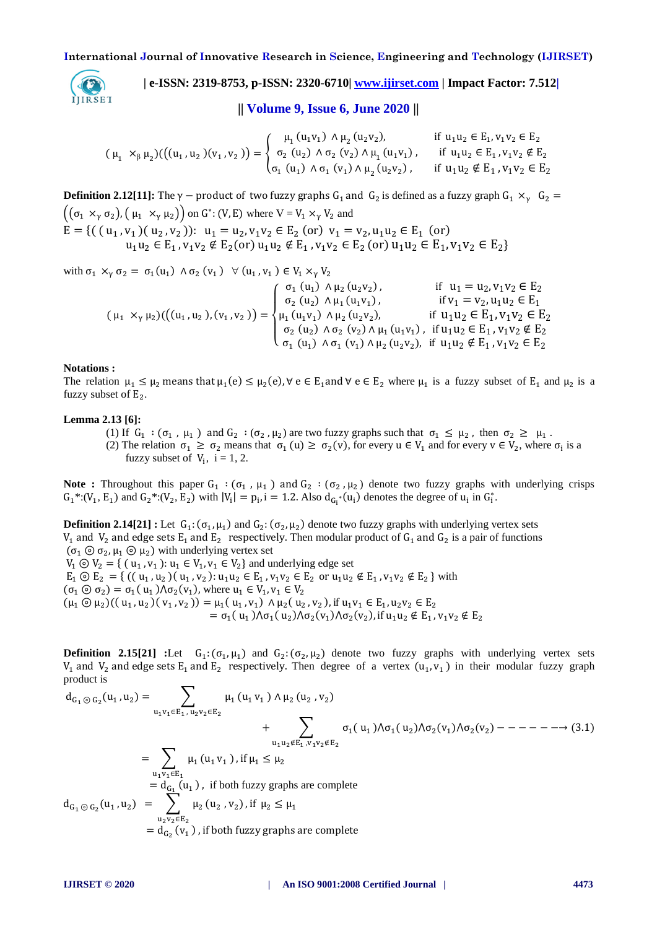

 **| e-ISSN: 2319-8753, p-ISSN: 2320-6710| [www.ijirset.com](http://www.ijirset.com/) | Impact Factor: 7.512|**

**|| Volume 9, Issue 6, June 2020 ||** 

$$
(\mu_1 \times_{\beta} \mu_2) ( ((u_1, u_2)(v_1, v_2)) = \begin{cases} \mu_1(u_1v_1) \wedge \mu_2(u_2v_2), & \text{if } u_1u_2 \in E_1, v_1v_2 \in E_2 \\ \sigma_2(u_2) \wedge \sigma_2(v_2) \wedge \mu_1(u_1v_1), & \text{if } u_1u_2 \in E_1, v_1v_2 \notin E_2 \\ \sigma_1(u_1) \wedge \sigma_1(v_1) \wedge \mu_2(u_2v_2), & \text{if } u_1u_2 \notin E_1, v_1v_2 \in E_2 \end{cases}
$$

**Definition 2.12[11]:** The  $\gamma$  - product of two fuzzy graphs  $G_1$  and  $G_2$  is defined as a fuzzy graph  $((\sigma_1 \times_{\gamma} \sigma_2), (\mu_1 \times_{\gamma} \mu_2))$  on  $G^*$ : (V, E) where  $V = V_1 \times_{\gamma} V_2$  and  $E = \{((u_1, v_1), (u_2, v_2)) : u_1 = u_2, v_1v_2 \in E_2 \text{ (or) } v_1 = v_2, u_1u_2 \in E_1 \}$ u

with  $\sigma_1 \times_v \sigma_2 = \sigma_1(u_1) \wedge \sigma_2(v_1) \forall (u_1, v_1)$  $(\mu_1 \times_{\gamma} \mu_2)((u_1, u_2), (v_1, v_2))$  $\overline{\mathcal{L}}$  $\overline{1}$  $\mathbf{I}$  $\mathbf{I}$  $\left(\begin{array}{cc}\sigma_1\ (u_1)\ \wedge \mu_2\ (u_2v_2)\end{array}\right)$  $\sigma_2$  (u<sub>2</sub>)  $\wedge \mu_1$  (u<sub>1</sub>v<sub>1</sub>)  $\mu_1$  (u<sub>1</sub>v<sub>1</sub>)  $\wedge \mu_2$  (u<sub>2</sub>v<sub>2</sub>)  $\sigma_2$  (u<sub>2</sub>)  $\wedge \sigma_2$  (v<sub>2</sub>)  $\wedge \mu_1$  (u<sub>1</sub>v<sub>1</sub>)  $\sigma_1$  (u<sub>1</sub>)  $\wedge \sigma_1$  (v<sub>1</sub>)  $\wedge \mu_2$  (u<sub>2</sub>v<sub>2</sub>)

**Notations :**

The relation  $\mu_1 \le \mu_2$  means that  $\mu_1(e) \le \mu_2(e)$ ,  $\forall e \in E_1$  and  $\forall e \in E_2$  where  $\mu_1$  is a fuzzy subset of  $E_1$  and  $\mu_2$  is a fuzzy subset of  $E_2$ .

#### **Lemma 2.13 [6]:**

(1) If  $G_1$ :  $(\sigma_1, \mu_1)$  and  $G_2$ :  $(\sigma_2, \mu_2)$  are two fuzzy graphs such that  $\sigma_1 \leq \mu_2$ , then  $\sigma_2 \geq \mu_1$ . (2) The relation  $\sigma_1 \ge \sigma_2$  means that  $\sigma_1(u) \ge \sigma_2(v)$ , for every  $u \in V_1$  and for every  $v \in V_2$ , where  $\sigma_i$  is a fuzzy subset of  $V_i$ ,  $i = 1, 2$ .

**Note :** Throughout this paper  $G_1$  :  $(\sigma_1, \mu_1)$  and  $G_2$  :  $(\sigma_2, \mu_2)$  denote two fuzzy graphs with underlying crisps  $G_1^*: (V_1, E_1)$  and  $G_2^*: (V_2, E_2)$  with  $|V_i| = p_i$ ,  $i = 1.2$ . Also  $d_{G_i^*}(u_i)$  denotes the degree of  $u_i$  in  $G_i^*$ .

**Definition 2.14[21] :** Let  $G_1$ :  $(\sigma_1, \mu_1)$  and  $G_2$ :  $(\sigma_2, \mu_2)$  denote two fuzzy graphs with underlying vertex sets  $V_1$  and  $V_2$  and edge sets  $E_1$  and  $E_2$  respectively. Then modular product of  $G_1$  and  $G_2$  is a pair of functions  $(\sigma_1 \odot \sigma_2, \mu_1 \odot \mu_2)$  with underlying vertex set  $V_1 \odot V_2 = \{ (u_1, v_1): u_1 \in V_1, v_1 \in V_2 \}$  and underlying edge set  $E_1 \odot E_2 = \{ ((u_1, u_2) (u_1, v_2) : u_1 u_2 \in E_1, v_1 v_2 \in E_2 \text{ or } u_1 u_2 \notin E_1, v_1 v_2 \notin E_2 \}$  with  $(\sigma_1 \odot \sigma_2) = \sigma_1(u_1) \wedge \sigma_2(v_1)$ , where  $u_1 \in V_1$ ,  $(\mu_1 \odot \mu_2)((u_1, u_2)(v_1, v_2)) = \mu_1(u_1, v_1) \wedge \mu_2(u_2, v_2)$ , if  $u_1v_1 \in E_1$ ,  $= \sigma_1(u_1) \Lambda \sigma_1(u_2) \Lambda \sigma_2(v_1) \Lambda \sigma_2(v_2)$ , if  $u_1 u_2 \notin E_1$ ,

**Definition 2.15[21]** :Let  $G_1$ :  $(\sigma_1, \mu_1)$  and  $G_2$ :  $(\sigma_2, \mu_2)$  denote two fuzzy graphs with underlying vertex sets  $V_1$  and  $V_2$  and edge sets  $E_1$  and  $E_2$  respectively. Then degree of a vertex  $(u_1, v_1)$  in their modular fuzzy graph product is

$$
d_{G_1 \odot G_2}(u_1, u_2) = \sum_{u_1 v_1 \in E_1, u_2 v_2 \in E_2} \mu_1(u_1 v_1) \wedge \mu_2(u_2, v_2)
$$
  
+ 
$$
\sum_{u_1 u_2 \notin E_1, v_1 v_2 \notin E_2} \sigma_1(u_1) \wedge \sigma_1(u_2) \wedge \sigma_2(v_1) \wedge \sigma_2(v_2) - - - - - - \rightarrow (3.1)
$$
  
= 
$$
\sum_{u_1 v_1 \in E_1} \mu_1(u_1 v_1), \text{ if } \mu_1 \le \mu_2
$$
  
= 
$$
d_{G_1}(u_1), \text{ if both fuzzy graphs are complete}
$$
  

$$
d_{G_1 \odot G_2}(u_1, u_2) = \sum_{u_2 v_2 \in E_2} \mu_2(u_2, v_2), \text{ if } \mu_2 \le \mu_1
$$
  
= 
$$
d_{G_2}(v_1), \text{ if both fuzzy graphs are complete}
$$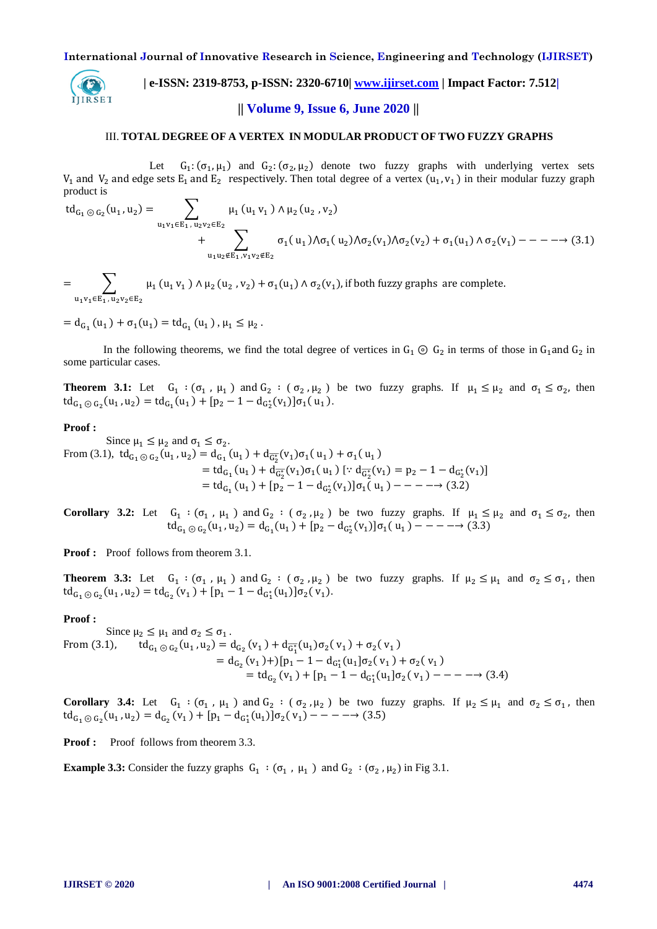

 **| e-ISSN: 2319-8753, p-ISSN: 2320-6710| [www.ijirset.com](http://www.ijirset.com/) | Impact Factor: 7.512| || Volume 9, Issue 6, June 2020 ||** 

#### III. **TOTAL DEGREE OF A VERTEX IN MODULAR PRODUCT OF TWO FUZZY GRAPHS**

Let :  $(\sigma_1, \mu_1)$  and  $G_2$ :  $(\sigma_2, \mu_2)$  denote two fuzzy graphs with underlying vertex sets  $V_1$  and  $V_2$  and edge sets  $E_1$  and  $E_2$  respectively. Then total degree of a vertex  $(u_1, v_1)$  in their modular fuzzy graph product is

$$
td_{G_1 \odot G_2}(u_1, u_2) = \sum_{u_1v_1 \in E_1, u_2v_2 \in E_2} \mu_1(u_1v_1) \wedge \mu_2(u_2, v_2)
$$
  
+ 
$$
\sum_{u_1u_2 \notin E_1, v_1v_2 \notin E_2} \sigma_1(u_1) \wedge \sigma_1(u_2) \wedge \sigma_2(v_1) \wedge \sigma_2(v_2) + \sigma_1(u_1) \wedge \sigma_2(v_1) - - - \rightarrow (3.1)
$$

 $=$   $\qquad$   $\qquad$   $\mu_1$  (u<sub>1</sub> v<sub>1</sub>)  $\wedge$   $\mu_2$  (u<sub>2</sub>, v<sub>2</sub>) u  $\sigma_1(u_1) \wedge \sigma_2(v_1)$ 

 $=d_{G_1}(u_1) + \sigma_1(u_1) = td_{G_1}(u_1), \mu_1 \leq \mu_2.$ 

In the following theorems, we find the total degree of vertices in  $G_1 \odot G_2$  in terms of those in  $G_1$  and  $G_2$  in some particular cases.

**Theorem 3.1:** Let  $G_1 : (G_1, \mu_1)$  and  $G_2 : (G_2, \mu_2)$  be two fuzzy graphs. If  $\mu_1 \leq \mu_2$  and  $\sigma_1 \leq \sigma_2$ , then  $\mathrm{td}_{G_1 \odot G_2}(u_1, u_2) = \mathrm{td}_{G_1}(u_1) + [p_2 - 1 - d_{G_2^*}(v_1)]\sigma_1(u_1).$ 

## **Proof :**

Since  $\mu_1 \leq \mu_2$  and  $\sigma_1 \leq \sigma_2$ . From (3.1),  $\mathrm{td}_{G_1 \odot G_2}(u_1, u_2) = \mathrm{d}_{G_1}(u_1) + \mathrm{d}_{\overline{G_2^*}}(v_1)\sigma_1(u_1) + \sigma_1(u_1)$  $=td_{G_1}(u_1)+d_{\overline{G_2^*}}(v_1)\sigma_1(u_1)$  [:  $d_{\overline{G_2^*}}(v_1)=p_2-1-d_{G_2^*}$  $=td_{G_1}(u_1) + [p_2 - 1 - d_{G_2^*}(v_1)]\sigma_1(u_1)$ 

**Corollary 3.2:** Let  $G_1$  :  $(\sigma_1, \mu_1)$  and  $G_2$  :  $(\sigma_2, \mu_2)$  be two fuzzy graphs. If  $\mu_1 \leq \mu_2$  and  $\sigma_1 \leq \sigma_2$ , then  $\operatorname{td}_{G_1 \odot G_2}(u_1, u_2) = \operatorname{d}_{G_1}(u_1) + [p_2 - \operatorname{d}_{G_2^*}(v_1)] \sigma_1(u_1)$ 

**Proof :** Proof follows from theorem 3.1.

**Theorem 3.3:** Let  $G_1 : (G_1, \mu_1)$  and  $G_2 : (G_2, \mu_2)$  be two fuzzy graphs. If  $\mu_2 \le \mu_1$  and  $\sigma_2 \le \sigma_1$ , then  $\mathrm{td}_{G_1 \odot G_2}(u_1, u_2) = \mathrm{td}_{G_2}(v_1) + [p_1 - 1 - d_{G_1^*}(u_1)]\sigma_2(v_1).$ 

#### **Proof :**

Since  $\mu_2 \leq \mu_1$  and  $\sigma_2 \leq \sigma_1$ . From  $(3.1)$ ,  $(u_1, u_2) = d_{G_2}(v_1) + d_{\overline{G_2^*}}(u_1)\sigma_2(v_1) + \sigma_2(v_1)$ =  $d_{G_2}(v_1)$ +)[ $p_1$  – 1 –  $d_{G_1^*}(u_1)\sigma_2(v_1)$  +  $\sigma_2(v_1)$  $=td_{G_2}(v_1) + [p_1 - 1 - d_{G_1}^*(u_1]\sigma_2(v_1))$ 

**Corollary 3.4:** Let  $G_1$  :  $(\sigma_1, \mu_1)$  and  $G_2$  :  $(\sigma_2, \mu_2)$  be two fuzzy graphs. If  $\mu_2 \leq \mu_1$  and  $\sigma_2 \leq \sigma_1$ , then  $\operatorname{td}_{G_1 \odot G_2}(u_1, u_2) = \operatorname{d}_{G_2}(v_1) + [p_1 - \operatorname{d}_{G_1^*}(u_1)]\sigma_2(v_1)$ 

**Proof :** Proof follows from theorem 3.3.

**Example 3.3:** Consider the fuzzy graphs  $G_1$  :  $(\sigma_1, \mu_1)$  and  $G_2$  :  $(\sigma_2, \mu_2)$  in Fig 3.1.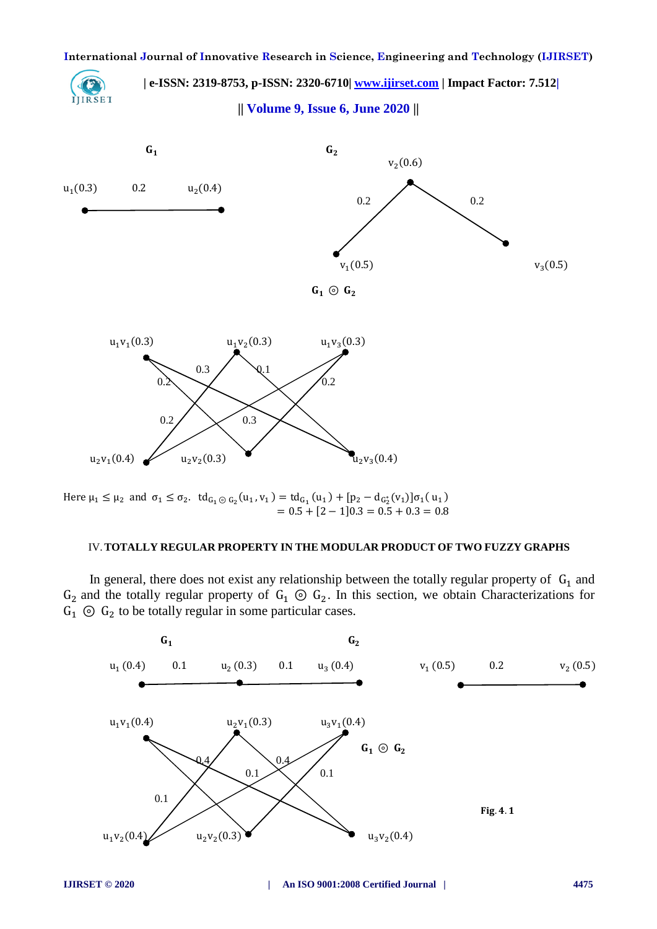

Here 
$$
\mu_1 \le \mu_2
$$
 and  $\sigma_1 \le \sigma_2$ .  $td_{G_1 \odot G_2}(u_1, v_1) = td_{G_1}(u_1) + [p_2 - d_{G_2^*}(v_1)]\sigma_1(u_1)$   
= 0.5 + [2 - 1]0.3 = 0.5 + 0.3 = 0.8

# IV.**TOTALLY REGULAR PROPERTY IN THE MODULAR PRODUCT OF TWO FUZZY GRAPHS**

In general, there does not exist any relationship between the totally regular property of  $G_1$  and  $G_2$  and the totally regular property of  $G_1 \odot G_2$ . In this section, we obtain Characterizations for  $G_1$   $\odot$   $G_2$  to be totally regular in some particular cases.

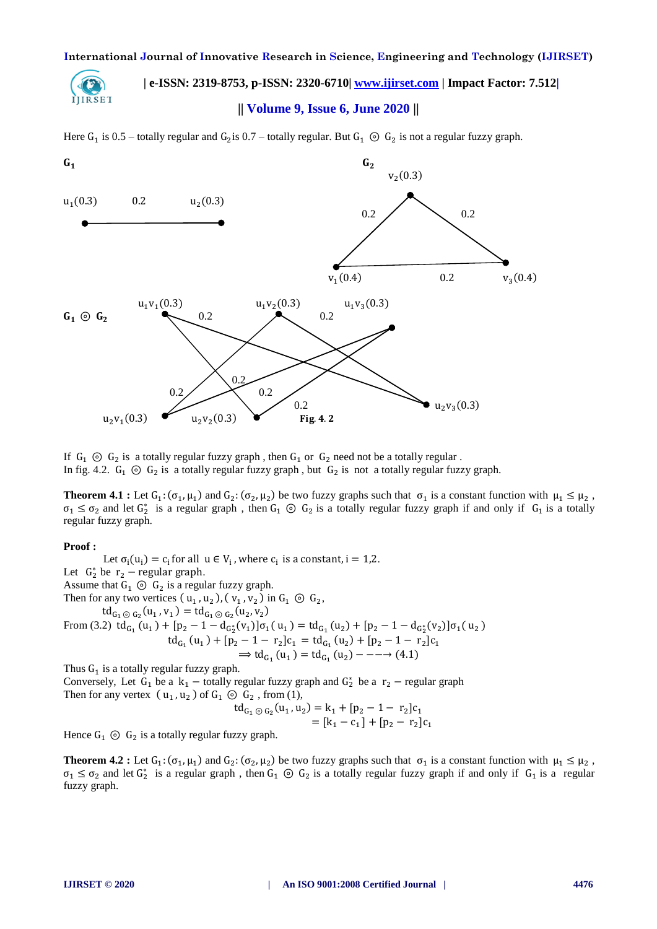

 **| e-ISSN: 2319-8753, p-ISSN: 2320-6710| [www.ijirset.com](http://www.ijirset.com/) | Impact Factor: 7.512|**

# **|| Volume 9, Issue 6, June 2020 ||**

Here  $G_1$  is 0.5 – totally regular and  $G_2$  is 0.7 – totally regular. But  $G_1 \odot G_2$  is not a regular fuzzy graph.



If  $G_1 \odot G_2$  is a totally regular fuzzy graph, then  $G_1$  or  $G_2$  need not be a totally regular. In fig. 4.2.  $G_1 \odot G_2$  is a totally regular fuzzy graph, but  $G_2$  is not a totally regular fuzzy graph.

**Theorem 4.1**: Let  $G_1: (\sigma_1, \mu_1)$  and  $G_2: (\sigma_2, \mu_2)$  be two fuzzy graphs such that  $\sigma_1$  is a constant function with  $\mu_1 \leq \mu_2$ ,  $\sigma_1 \leq \sigma_2$  and let  $G_2^*$  is a regular graph, then  $G_1 \odot G_2$  is a totally regular fuzzy graph if and only if  $G_1$  is a totally regular fuzzy graph.

#### **Proof :**

Let  $\sigma_i(u_i) = c_i$  for all  $u \in V_i$ , where  $c_i$  is a constant,  $i = 1,2$ . Let  $G_2^*$  be  $r_2$  – regular graph. Assume that  $G_1 \odot G_2$  is a regular fuzzy graph. Then for any two vertices  $(u_1, u_2)$ ,  $(v_1, v_2)$  in  $G_1 \odot G_2$ ,  $\mathrm{td}_{G_1 \odot G_2}(u_1, v_1) = \mathrm{td}_{G_1 \odot G_2}(u_2, v_2)$ From (3.2)  $td_{G_1}(u_1) + [p_2 - 1 - d_{G_1^*}(v_1)]\sigma_1(u_1) = td_{G_1}(u_2) + [p_2 - 1 - d_{G_1^*}(v_2)]\sigma_1(u_2)$  $\mathrm{td}_{G_1}(u_1) + [p_2 - 1 - r_2]c_1 = \mathrm{td}_{G_1}(u_2) + [p_2 - 1 - r_2]$  $\Rightarrow$  td<sub>G<sub>1</sub></sub> (u<sub>1</sub>) = td<sub>G<sub>1</sub></sub> (u<sub>2</sub>) Thus  $G_1$  is a totally regular fuzzy graph.

Conversely, Let  $G_1$  be a  $k_1$  – totally regular fuzzy graph and  $G_2^*$  be a  $r_2$  – regular graph Then for any vertex  $(u_1, u_2)$  of  $G_1 \odot G_2$ , from (1), t

$$
d_{G_1 \odot G_2}(u_1, u_2) = k_1 + [p_2 - 1 - r_2]c_1
$$
  
=  $[k_1 - c_1] + [p_2 - r_2]c_1$ 

Hence  $G_1 \odot G_2$  is a totally regular fuzzy graph.

**Theorem 4.2**: Let  $G_1$ :  $(\sigma_1, \mu_1)$  and  $G_2$ :  $(\sigma_2, \mu_2)$  be two fuzzy graphs such that  $\sigma_1$  is a constant function with  $\mu_1 \leq \mu_2$ ,  $\sigma_1 \leq \sigma_2$  and let  $G_2^*$  is a regular graph, then  $G_1 \odot G_2$  is a totally regular fuzzy graph if and only if  $G_1$  is a regular fuzzy graph.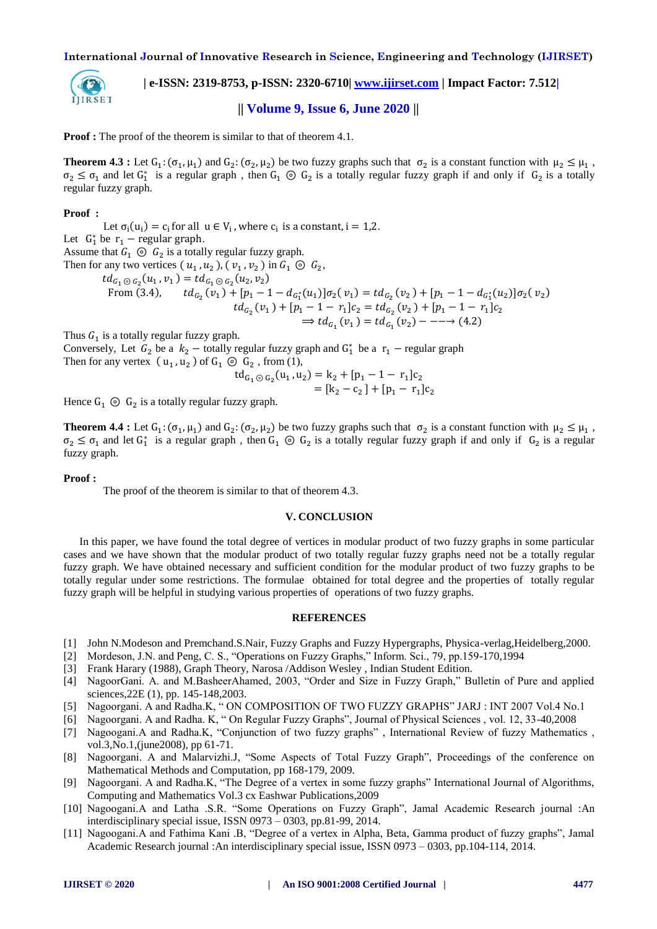

 **| e-ISSN: 2319-8753, p-ISSN: 2320-6710| [www.ijirset.com](http://www.ijirset.com/) | Impact Factor: 7.512|**

**|| Volume 9, Issue 6, June 2020 ||** 

**Proof :** The proof of the theorem is similar to that of theorem 4.1.

**Theorem 4.3**: Let  $G_1: (\sigma_1, \mu_1)$  and  $G_2: (\sigma_2, \mu_2)$  be two fuzzy graphs such that  $\sigma_2$  is a constant function with  $\mu_2 \leq \mu_1$ ,  $\sigma_2 \leq \sigma_1$  and let  $G_1^*$  is a regular graph, then  $G_1 \odot G_2$  is a totally regular fuzzy graph if and only if  $G_2$  is a totally regular fuzzy graph.

## **Proof :**

Let  $\sigma_i(u_i) = c_i$  for all  $u \in V_i$ , where  $c_i$  is a constant,  $i = 1,2$ . Let  $G_1^*$  be  $r_1$  – regular graph. Assume that  $G_1 \odot G_2$  is a totally regular fuzzy graph. Then for any two vertices  $(u_1, u_2)$ ,  $(v_1, v_2)$  in  $G_1 \odot G_2$ ,  $td_{G_1 \odot G_2}(u_1,v_1) = td_{G_1 \odot G_2}(u_2,v_2)$ From (3.4),  $td_{G_2}(v_1) + [p_1 - 1 - d_{G_2}(u_1)]\sigma_2(v_1) = td_{G_2}(v_2) + [p_1 - 1 - d_{G_2}(u_2)]\sigma_2(v_2)$  $td_{G_2}(v_1) + [p_1 - 1 - r_1]c_2 = td_{G_2}(v_2) + [p_1 - 1 - r_1]$  $\Rightarrow td_{G_1}(v_1) = td_{G_1}(v_2)$ 

Thus  $G_1$  is a totally regular fuzzy graph.

Conversely, Let  $G_2$  be a  $k_2$  – totally regular fuzzy graph and  $G_1^*$  be a  $r_1$  – regular graph Then for any vertex  $(u_1, u_2)$  of  $G_1 \odot G_2$ , from (1),

> $\operatorname{td}_{G_1 \odot G_2}(u_1, u_2) = k_2 + [p_1 - 1 - r_1]$  $=[k_2-c_2]+[p_1-r_1]$

Hence  $G_1 \odot G_2$  is a totally regular fuzzy graph.

**Theorem 4.4 :** Let  $G_1$ :  $(\sigma_1, \mu_1)$  and  $G_2$ :  $(\sigma_2, \mu_2)$  be two fuzzy graphs such that  $\sigma_2$  is a constant function with  $\mu_2 \le \mu_1$ ,  $\sigma_2 \leq \sigma_1$  and let  $G_1^*$  is a regular graph, then  $G_1 \odot G_2$  is a totally regular fuzzy graph if and only if  $G_2$  is a regular fuzzy graph.

#### **Proof :**

The proof of the theorem is similar to that of theorem 4.3.

### **V. CONCLUSION**

In this paper, we have found the total degree of vertices in modular product of two fuzzy graphs in some particular cases and we have shown that the modular product of two totally regular fuzzy graphs need not be a totally regular fuzzy graph. We have obtained necessary and sufficient condition for the modular product of two fuzzy graphs to be totally regular under some restrictions. The formulae obtained for total degree and the properties of totally regular fuzzy graph will be helpful in studying various properties of operations of two fuzzy graphs.

#### **REFERENCES**

- [1] John N.Modeson and Premchand.S.Nair, Fuzzy Graphs and Fuzzy Hypergraphs, Physica-verlag,Heidelberg,2000.
- [2] Mordeson, J.N. and Peng, C. S., "Operations on Fuzzy Graphs," Inform. Sci., 79, pp.159-170,1994
- [3] Frank Harary (1988), Graph Theory, Narosa /Addison Wesley , Indian Student Edition.
- [4] NagoorGani. A. and M.BasheerAhamed, 2003, "Order and Size in Fuzzy Graph," Bulletin of Pure and applied sciences,22E (1), pp. 145-148,2003.
- [5] Nagoorgani. A and Radha.K, " ON COMPOSITION OF TWO FUZZY GRAPHS" JARJ : INT 2007 Vol.4 No.1
- [6] Nagoorgani. A and Radha. K, " On Regular Fuzzy Graphs", Journal of Physical Sciences , vol. 12, 33-40,2008
- [7] Nagoogani.A and Radha.K, "Conjunction of two fuzzy graphs" , International Review of fuzzy Mathematics , vol.3,No.1,(june2008), pp 61-71.
- [8] Nagoorgani. A and Malarvizhi.J, "Some Aspects of Total Fuzzy Graph", Proceedings of the conference on Mathematical Methods and Computation, pp 168-179, 2009.
- [9] Nagoorgani. A and Radha.K, "The Degree of a vertex in some fuzzy graphs" International Journal of Algorithms, Computing and Mathematics Vol.3 cx Eashwar Publications,2009
- [10] Nagoogani.A and Latha .S.R. "Some Operations on Fuzzy Graph", Jamal Academic Research journal :An interdisciplinary special issue, ISSN 0973 – 0303, pp.81-99, 2014.
- [11] Nagoogani.A and Fathima Kani .B, "Degree of a vertex in Alpha, Beta, Gamma product of fuzzy graphs", Jamal Academic Research journal :An interdisciplinary special issue, ISSN 0973 – 0303, pp.104-114, 2014.